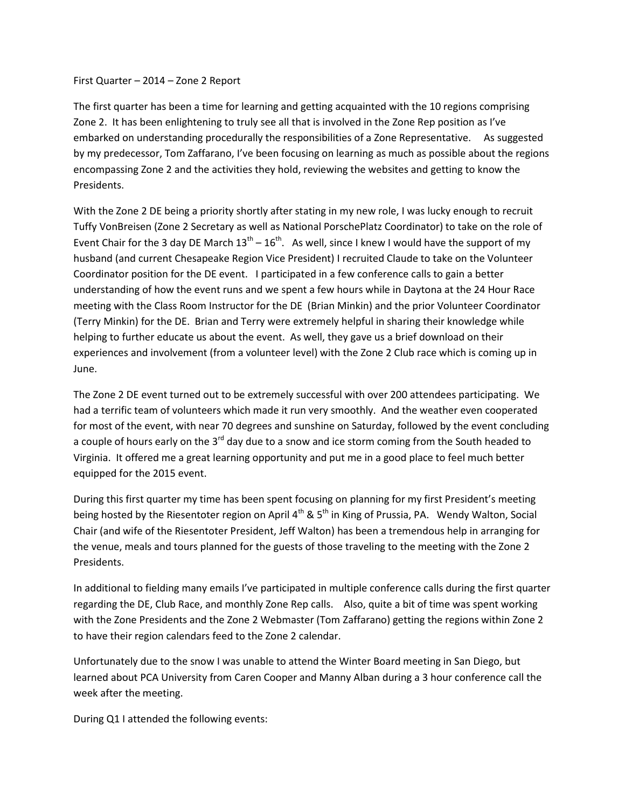First Quarter – 2014 – Zone 2 Report

The first quarter has been a time for learning and getting acquainted with the 10 regions comprising Zone 2. It has been enlightening to truly see all that is involved in the Zone Rep position as I've embarked on understanding procedurally the responsibilities of a Zone Representative. As suggested by my predecessor, Tom Zaffarano, I've been focusing on learning as much as possible about the regions encompassing Zone 2 and the activities they hold, reviewing the websites and getting to know the Presidents.

With the Zone 2 DE being a priority shortly after stating in my new role, I was lucky enough to recruit Tuffy VonBreisen (Zone 2 Secretary as well as National PorschePlatz Coordinator) to take on the role of Event Chair for the 3 day DE March  $13^{th} - 16^{th}$ . As well, since I knew I would have the support of my husband (and current Chesapeake Region Vice President) I recruited Claude to take on the Volunteer Coordinator position for the DE event. I participated in a few conference calls to gain a better understanding of how the event runs and we spent a few hours while in Daytona at the 24 Hour Race meeting with the Class Room Instructor for the DE (Brian Minkin) and the prior Volunteer Coordinator (Terry Minkin) for the DE. Brian and Terry were extremely helpful in sharing their knowledge while helping to further educate us about the event. As well, they gave us a brief download on their experiences and involvement (from a volunteer level) with the Zone 2 Club race which is coming up in June.

The Zone 2 DE event turned out to be extremely successful with over 200 attendees participating. We had a terrific team of volunteers which made it run very smoothly. And the weather even cooperated for most of the event, with near 70 degrees and sunshine on Saturday, followed by the event concluding a couple of hours early on the  $3<sup>rd</sup>$  day due to a snow and ice storm coming from the South headed to Virginia. It offered me a great learning opportunity and put me in a good place to feel much better equipped for the 2015 event.

During this first quarter my time has been spent focusing on planning for my first President's meeting being hosted by the Riesentoter region on April  $4^{th}$  &  $5^{th}$  in King of Prussia, PA. Wendy Walton, Social Chair (and wife of the Riesentoter President, Jeff Walton) has been a tremendous help in arranging for the venue, meals and tours planned for the guests of those traveling to the meeting with the Zone 2 Presidents.

In additional to fielding many emails I've participated in multiple conference calls during the first quarter regarding the DE, Club Race, and monthly Zone Rep calls. Also, quite a bit of time was spent working with the Zone Presidents and the Zone 2 Webmaster (Tom Zaffarano) getting the regions within Zone 2 to have their region calendars feed to the Zone 2 calendar.

Unfortunately due to the snow I was unable to attend the Winter Board meeting in San Diego, but learned about PCA University from Caren Cooper and Manny Alban during a 3 hour conference call the week after the meeting.

During Q1 I attended the following events: